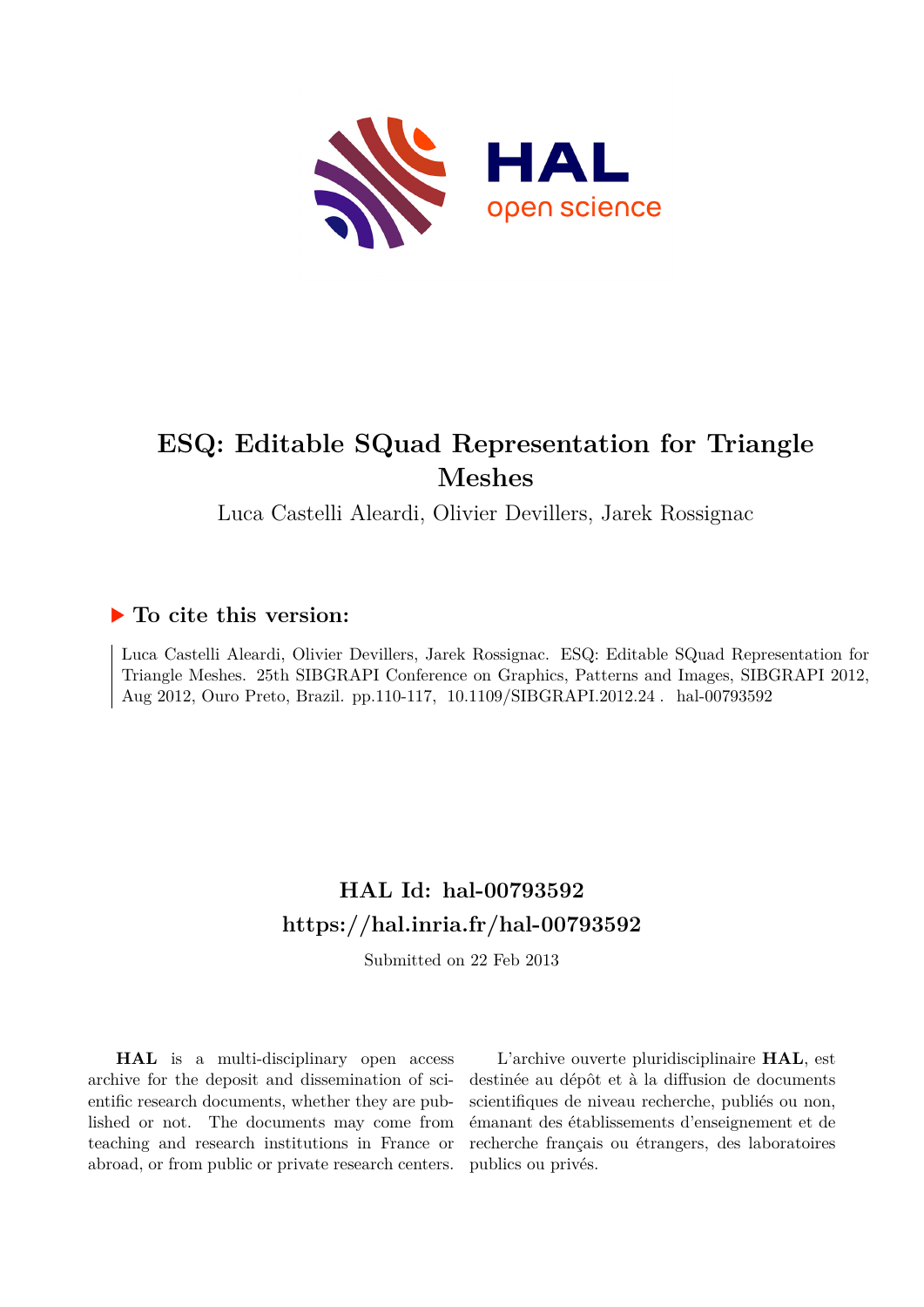

## **ESQ: Editable SQuad Representation for Triangle Meshes**

Luca Castelli Aleardi, Olivier Devillers, Jarek Rossignac

### **To cite this version:**

Luca Castelli Aleardi, Olivier Devillers, Jarek Rossignac. ESQ: Editable SQuad Representation for Triangle Meshes. 25th SIBGRAPI Conference on Graphics, Patterns and Images, SIBGRAPI 2012, Aug 2012, Ouro Preto, Brazil. pp.110-117, 10.1109/SIBGRAPI.2012.24. hal-00793592

## **HAL Id: hal-00793592 <https://hal.inria.fr/hal-00793592>**

Submitted on 22 Feb 2013

**HAL** is a multi-disciplinary open access archive for the deposit and dissemination of scientific research documents, whether they are published or not. The documents may come from teaching and research institutions in France or abroad, or from public or private research centers.

L'archive ouverte pluridisciplinaire **HAL**, est destinée au dépôt et à la diffusion de documents scientifiques de niveau recherche, publiés ou non, émanant des établissements d'enseignement et de recherche français ou étrangers, des laboratoires publics ou privés.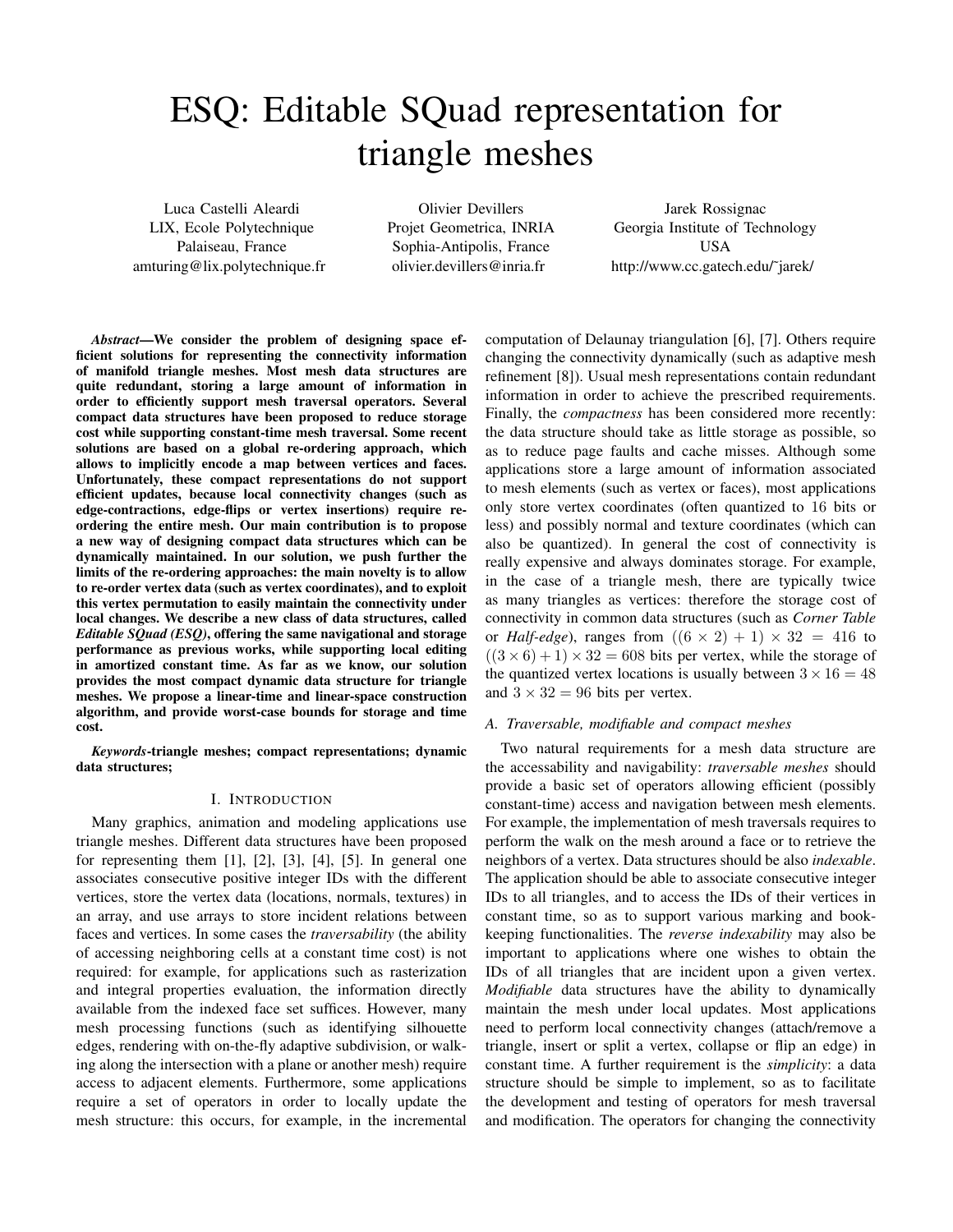# ESQ: Editable SQuad representation for triangle meshes

Luca Castelli Aleardi LIX, Ecole Polytechnique Palaiseau, France amturing@lix.polytechnique.fr

Olivier Devillers Projet Geometrica, INRIA Sophia-Antipolis, France olivier.devillers@inria.fr

Jarek Rossignac Georgia Institute of Technology USA http://www.cc.gatech.edu/˜jarek/

*Abstract*—We consider the problem of designing space efficient solutions for representing the connectivity information of manifold triangle meshes. Most mesh data structures are quite redundant, storing a large amount of information in order to efficiently support mesh traversal operators. Several compact data structures have been proposed to reduce storage cost while supporting constant-time mesh traversal. Some recent solutions are based on a global re-ordering approach, which allows to implicitly encode a map between vertices and faces. Unfortunately, these compact representations do not support efficient updates, because local connectivity changes (such as edge-contractions, edge-flips or vertex insertions) require reordering the entire mesh. Our main contribution is to propose a new way of designing compact data structures which can be dynamically maintained. In our solution, we push further the limits of the re-ordering approaches: the main novelty is to allow to re-order vertex data (such as vertex coordinates), and to exploit this vertex permutation to easily maintain the connectivity under local changes. We describe a new class of data structures, called *Editable SQuad (ESQ)*, offering the same navigational and storage performance as previous works, while supporting local editing in amortized constant time. As far as we know, our solution provides the most compact dynamic data structure for triangle meshes. We propose a linear-time and linear-space construction algorithm, and provide worst-case bounds for storage and time cost.

*Keywords*-triangle meshes; compact representations; dynamic data structures;

#### I. INTRODUCTION

Many graphics, animation and modeling applications use triangle meshes. Different data structures have been proposed for representing them  $[1]$ ,  $[2]$ ,  $[3]$ ,  $[4]$ ,  $[5]$ . In general one associates consecutive positive integer IDs with the different vertices, store the vertex data (locations, normals, textures) in an array, and use arrays to store incident relations between faces and vertices. In some cases the *traversability* (the ability of accessing neighboring cells at a constant time cost) is not required: for example, for applications such as rasterization and integral properties evaluation, the information directly available from the indexed face set suffices. However, many mesh processing functions (such as identifying silhouette edges, rendering with on-the-fly adaptive subdivision, or walking along the intersection with a plane or another mesh) require access to adjacent elements. Furthermore, some applications require a set of operators in order to locally update the mesh structure: this occurs, for example, in the incremental

computation of Delaunay triangulation [6], [7]. Others require changing the connectivity dynamically (such as adaptive mesh refinement [8]). Usual mesh representations contain redundant information in order to achieve the prescribed requirements. Finally, the *compactness* has been considered more recently: the data structure should take as little storage as possible, so as to reduce page faults and cache misses. Although some applications store a large amount of information associated to mesh elements (such as vertex or faces), most applications only store vertex coordinates (often quantized to 16 bits or less) and possibly normal and texture coordinates (which can also be quantized). In general the cost of connectivity is really expensive and always dominates storage. For example, in the case of a triangle mesh, there are typically twice as many triangles as vertices: therefore the storage cost of connectivity in common data structures (such as *Corner Table* or *Half-edge*), ranges from  $((6 \times 2) + 1) \times 32 = 416$  to  $((3 \times 6) + 1) \times 32 = 608$  bits per vertex, while the storage of the quantized vertex locations is usually between  $3 \times 16 = 48$ and  $3 \times 32 = 96$  bits per vertex.

#### *A. Traversable, modifiable and compact meshes*

Two natural requirements for a mesh data structure are the accessability and navigability: *traversable meshes* should provide a basic set of operators allowing efficient (possibly constant-time) access and navigation between mesh elements. For example, the implementation of mesh traversals requires to perform the walk on the mesh around a face or to retrieve the neighbors of a vertex. Data structures should be also *indexable*. The application should be able to associate consecutive integer IDs to all triangles, and to access the IDs of their vertices in constant time, so as to support various marking and bookkeeping functionalities. The *reverse indexability* may also be important to applications where one wishes to obtain the IDs of all triangles that are incident upon a given vertex. *Modifiable* data structures have the ability to dynamically maintain the mesh under local updates. Most applications need to perform local connectivity changes (attach/remove a triangle, insert or split a vertex, collapse or flip an edge) in constant time. A further requirement is the *simplicity*: a data structure should be simple to implement, so as to facilitate the development and testing of operators for mesh traversal and modification. The operators for changing the connectivity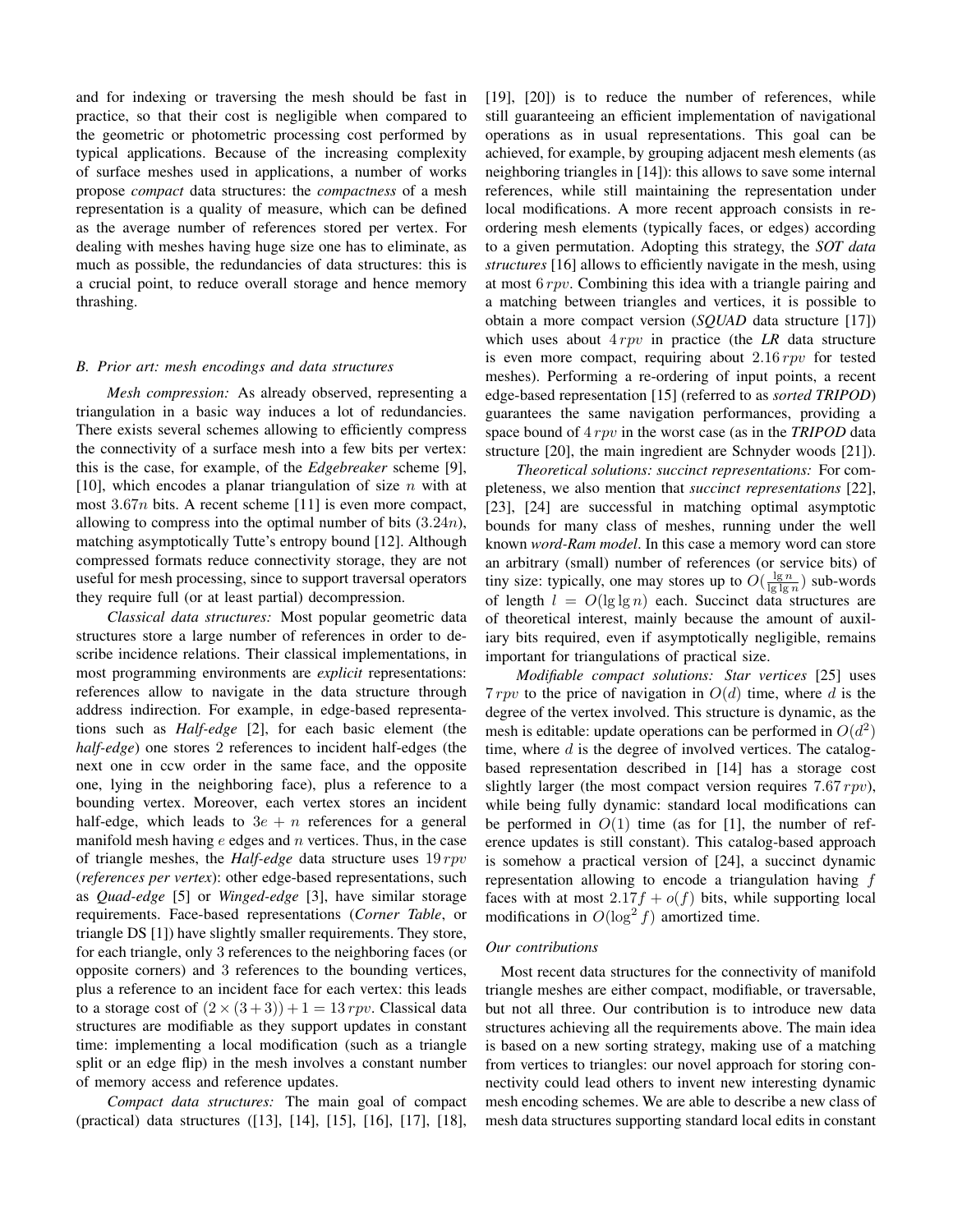and for indexing or traversing the mesh should be fast in practice, so that their cost is negligible when compared to the geometric or photometric processing cost performed by typical applications. Because of the increasing complexity of surface meshes used in applications, a number of works propose *compact* data structures: the *compactness* of a mesh representation is a quality of measure, which can be defined as the average number of references stored per vertex. For dealing with meshes having huge size one has to eliminate, as much as possible, the redundancies of data structures: this is a crucial point, to reduce overall storage and hence memory thrashing.

#### *B. Prior art: mesh encodings and data structures*

*Mesh compression:* As already observed, representing a triangulation in a basic way induces a lot of redundancies. There exists several schemes allowing to efficiently compress the connectivity of a surface mesh into a few bits per vertex: this is the case, for example, of the *Edgebreaker* scheme [9], [10], which encodes a planar triangulation of size  $n$  with at most 3.67*n* bits. A recent scheme [11] is even more compact, allowing to compress into the optimal number of bits  $(3.24n)$ , matching asymptotically Tutte's entropy bound [12]. Although compressed formats reduce connectivity storage, they are not useful for mesh processing, since to support traversal operators they require full (or at least partial) decompression.

*Classical data structures:* Most popular geometric data structures store a large number of references in order to describe incidence relations. Their classical implementations, in most programming environments are *explicit* representations: references allow to navigate in the data structure through address indirection. For example, in edge-based representations such as *Half-edge* [2], for each basic element (the *half-edge*) one stores 2 references to incident half-edges (the next one in ccw order in the same face, and the opposite one, lying in the neighboring face), plus a reference to a bounding vertex. Moreover, each vertex stores an incident half-edge, which leads to  $3e + n$  references for a general manifold mesh having  $e$  edges and  $n$  vertices. Thus, in the case of triangle meshes, the *Half-edge* data structure uses 19 rpv (*references per vertex*): other edge-based representations, such as *Quad-edge* [5] or *Winged-edge* [3], have similar storage requirements. Face-based representations (*Corner Table*, or triangle DS [1]) have slightly smaller requirements. They store, for each triangle, only 3 references to the neighboring faces (or opposite corners) and 3 references to the bounding vertices, plus a reference to an incident face for each vertex: this leads to a storage cost of  $(2 \times (3+3)) + 1 = 13 \, \text{rpv}$ . Classical data structures are modifiable as they support updates in constant time: implementing a local modification (such as a triangle split or an edge flip) in the mesh involves a constant number of memory access and reference updates.

*Compact data structures:* The main goal of compact (practical) data structures ([13], [14], [15], [16], [17], [18], [19], [20]) is to reduce the number of references, while still guaranteeing an efficient implementation of navigational operations as in usual representations. This goal can be achieved, for example, by grouping adjacent mesh elements (as neighboring triangles in [14]): this allows to save some internal references, while still maintaining the representation under local modifications. A more recent approach consists in reordering mesh elements (typically faces, or edges) according to a given permutation. Adopting this strategy, the *SOT data structures* [16] allows to efficiently navigate in the mesh, using at most 6 rpv. Combining this idea with a triangle pairing and a matching between triangles and vertices, it is possible to obtain a more compact version (*SQUAD* data structure [17]) which uses about 4 rpv in practice (the *LR* data structure is even more compact, requiring about  $2.16 \, \text{rpv}$  for tested meshes). Performing a re-ordering of input points, a recent edge-based representation [15] (referred to as *sorted TRIPOD*) guarantees the same navigation performances, providing a space bound of 4 rpv in the worst case (as in the *TRIPOD* data structure [20], the main ingredient are Schnyder woods [21]).

*Theoretical solutions: succinct representations:* For completeness, we also mention that *succinct representations* [22], [23], [24] are successful in matching optimal asymptotic bounds for many class of meshes, running under the well known *word-Ram model*. In this case a memory word can store an arbitrary (small) number of references (or service bits) of tiny size: typically, one may stores up to  $O(\frac{\lg n}{\lg \lg n})$  sub-words of length  $l = O(\lg \lg n)$  each. Succinct data structures are of theoretical interest, mainly because the amount of auxiliary bits required, even if asymptotically negligible, remains important for triangulations of practical size.

*Modifiable compact solutions: Star vertices* [25] uses  $7 \, r p v$  to the price of navigation in  $O(d)$  time, where d is the degree of the vertex involved. This structure is dynamic, as the mesh is editable: update operations can be performed in  $O(d^2)$ time, where  $d$  is the degree of involved vertices. The catalogbased representation described in [14] has a storage cost slightly larger (the most compact version requires 7.67 rpv), while being fully dynamic: standard local modifications can be performed in  $O(1)$  time (as for [1], the number of reference updates is still constant). This catalog-based approach is somehow a practical version of [24], a succinct dynamic representation allowing to encode a triangulation having f faces with at most  $2.17f + o(f)$  bits, while supporting local modifications in  $O(\log^2 f)$  amortized time.

#### *Our contributions*

Most recent data structures for the connectivity of manifold triangle meshes are either compact, modifiable, or traversable, but not all three. Our contribution is to introduce new data structures achieving all the requirements above. The main idea is based on a new sorting strategy, making use of a matching from vertices to triangles: our novel approach for storing connectivity could lead others to invent new interesting dynamic mesh encoding schemes. We are able to describe a new class of mesh data structures supporting standard local edits in constant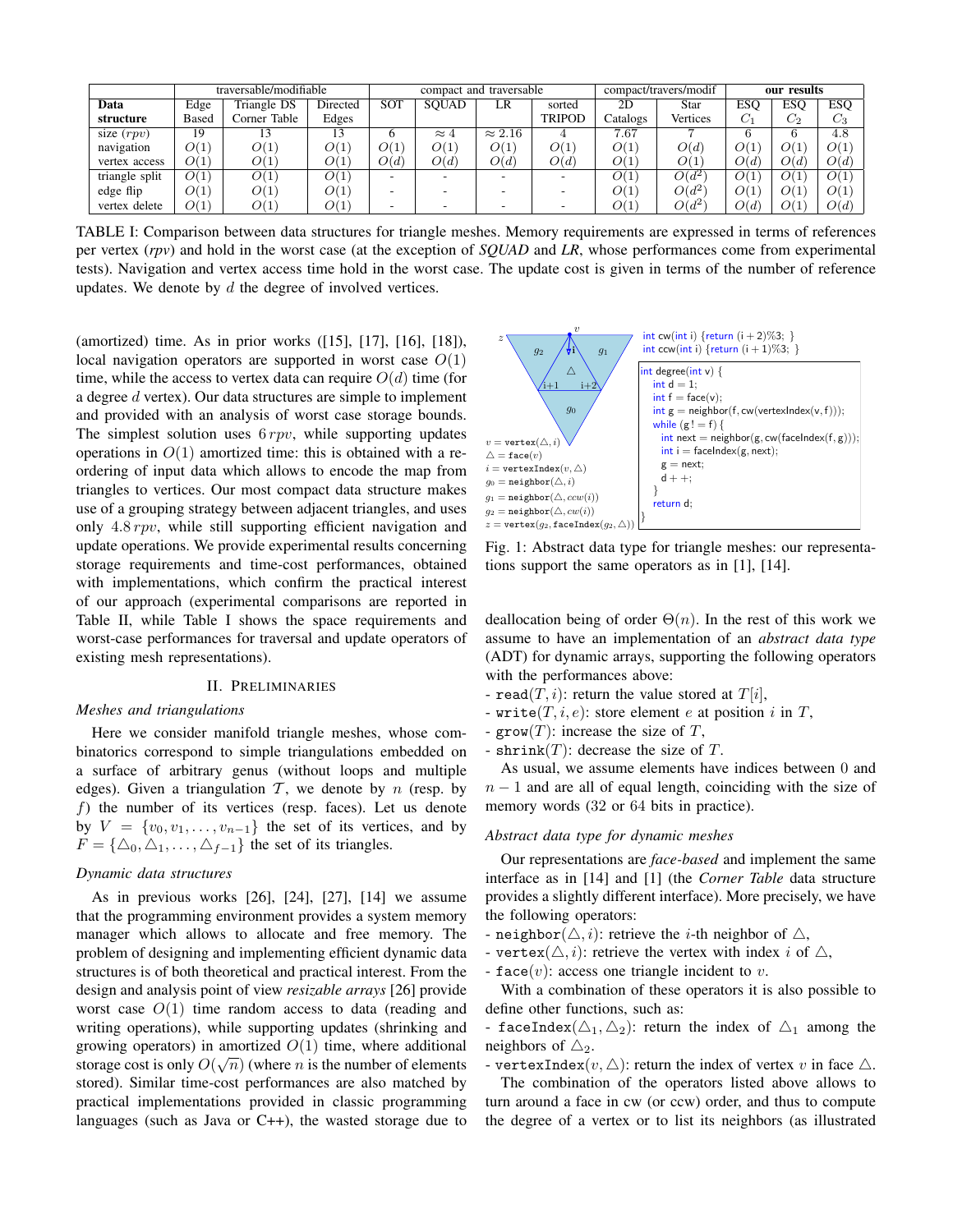|                |       | traversable/modifiable |          | compact and traversable |             |                |               | compact/travers/modif | our results |       |                    |            |
|----------------|-------|------------------------|----------|-------------------------|-------------|----------------|---------------|-----------------------|-------------|-------|--------------------|------------|
| Data           | Edge  | Triangle DS            | Directed | <b>SOT</b>              | SOUAD       | LR             | sorted        | 2D                    | Star        | ESO   | <b>ESO</b>         | <b>ESO</b> |
| structure      | Based | Corner Table           | Edges    |                         |             |                | <b>TRIPOD</b> | Catalogs              | Vertices    | $C_1$ | $\scriptstyle C_2$ | $C_3$      |
| size $(rpv)$   | 19    |                        | 13       |                         | $\approx 4$ | $\approx 2.16$ |               | 7.67                  |             |       |                    | 4.8        |
| navigation     | O(1)  | 0(1                    | 0(1)     | O(1)                    | O(1)        | 0(1            | O(1)          | 2(1)                  | O(d)        | О(1   | O(1)               | 0(1        |
| vertex access  | O(1)  | O(1)                   | O(1)     | O(d)                    | O(d)        | O(d)           | O(d)          | O(1)                  | O(1         | O(d)  | O(d)               | O(d)       |
| triangle split | O(1)  | O(1)                   | O(1)     | -                       |             |                |               | O(1)                  | $O(d^2)$    | O(1)  | O(1)               | O(1)       |
| edge flip      | O(1)  | O(1)                   | O(1)     | -                       |             |                |               | O(1)                  | $O(d^2)$    | 0(1   | O(1)               | O(1)       |
| vertex delete  | O(1)  | 0(1)                   | O(1)     |                         | -           |                |               | O(1)                  | $O(d^2)$    | O(d)  | O(1                | O(d)       |

TABLE I: Comparison between data structures for triangle meshes. Memory requirements are expressed in terms of references per vertex (*rpv*) and hold in the worst case (at the exception of *SQUAD* and *LR*, whose performances come from experimental tests). Navigation and vertex access time hold in the worst case. The update cost is given in terms of the number of reference updates. We denote by  $d$  the degree of involved vertices.

(amortized) time. As in prior works ([15], [17], [16], [18]), local navigation operators are supported in worst case  $O(1)$ time, while the access to vertex data can require  $O(d)$  time (for a degree d vertex). Our data structures are simple to implement and provided with an analysis of worst case storage bounds. The simplest solution uses  $6 \, rpv$ , while supporting updates operations in  $O(1)$  amortized time: this is obtained with a reordering of input data which allows to encode the map from triangles to vertices. Our most compact data structure makes use of a grouping strategy between adjacent triangles, and uses only  $4.8 \, \text{rpv}$ , while still supporting efficient navigation and update operations. We provide experimental results concerning storage requirements and time-cost performances, obtained with implementations, which confirm the practical interest of our approach (experimental comparisons are reported in Table II, while Table I shows the space requirements and worst-case performances for traversal and update operators of existing mesh representations).

#### II. PRELIMINARIES

#### *Meshes and triangulations*

Here we consider manifold triangle meshes, whose combinatorics correspond to simple triangulations embedded on a surface of arbitrary genus (without loops and multiple edges). Given a triangulation  $T$ , we denote by n (resp. by  $f$ ) the number of its vertices (resp. faces). Let us denote by  $V = \{v_0, v_1, \ldots, v_{n-1}\}\$  the set of its vertices, and by  $F = {\{\triangle_0, \triangle_1, ..., \triangle_{f-1}\}}$  the set of its triangles.

#### *Dynamic data structures*

As in previous works [26], [24], [27], [14] we assume that the programming environment provides a system memory manager which allows to allocate and free memory. The problem of designing and implementing efficient dynamic data structures is of both theoretical and practical interest. From the design and analysis point of view *resizable arrays* [26] provide worst case  $O(1)$  time random access to data (reading and writing operations), while supporting updates (shrinking and growing operators) in amortized  $O(1)$  time, where additional storage cost is only  $O(\sqrt{n})$  (where *n* is the number of elements stored). Similar time-cost performances are also matched by practical implementations provided in classic programming languages (such as Java or C++), the wasted storage due to



Fig. 1: Abstract data type for triangle meshes: our representations support the same operators as in [1], [14].

deallocation being of order  $\Theta(n)$ . In the rest of this work we assume to have an implementation of an *abstract data type* (ADT) for dynamic arrays, supporting the following operators with the performances above:

- read $(T, i)$ : return the value stored at  $T[i]$ ,
- write $(T, i, e)$ : store element e at position i in T,
- grow $(T)$ : increase the size of T,
- shrink $(T)$ : decrease the size of T.

As usual, we assume elements have indices between 0 and  $n - 1$  and are all of equal length, coinciding with the size of memory words (32 or 64 bits in practice).

#### *Abstract data type for dynamic meshes*

Our representations are *face-based* and implement the same interface as in [14] and [1] (the *Corner Table* data structure provides a slightly different interface). More precisely, we have the following operators:

- neighbor $(\triangle, i)$ : retrieve the *i*-th neighbor of  $\triangle$ ,
- vertex( $\triangle$ , *i*): retrieve the vertex with index *i* of  $\triangle$ ,
- face(v): access one triangle incident to v.

With a combination of these operators it is also possible to define other functions, such as:

- faceIndex( $\triangle_1, \triangle_2$ ): return the index of  $\triangle_1$  among the neighbors of  $\triangle_2$ .

- vertexIndex $(v, \triangle)$ : return the index of vertex v in face  $\triangle$ .

The combination of the operators listed above allows to turn around a face in cw (or ccw) order, and thus to compute the degree of a vertex or to list its neighbors (as illustrated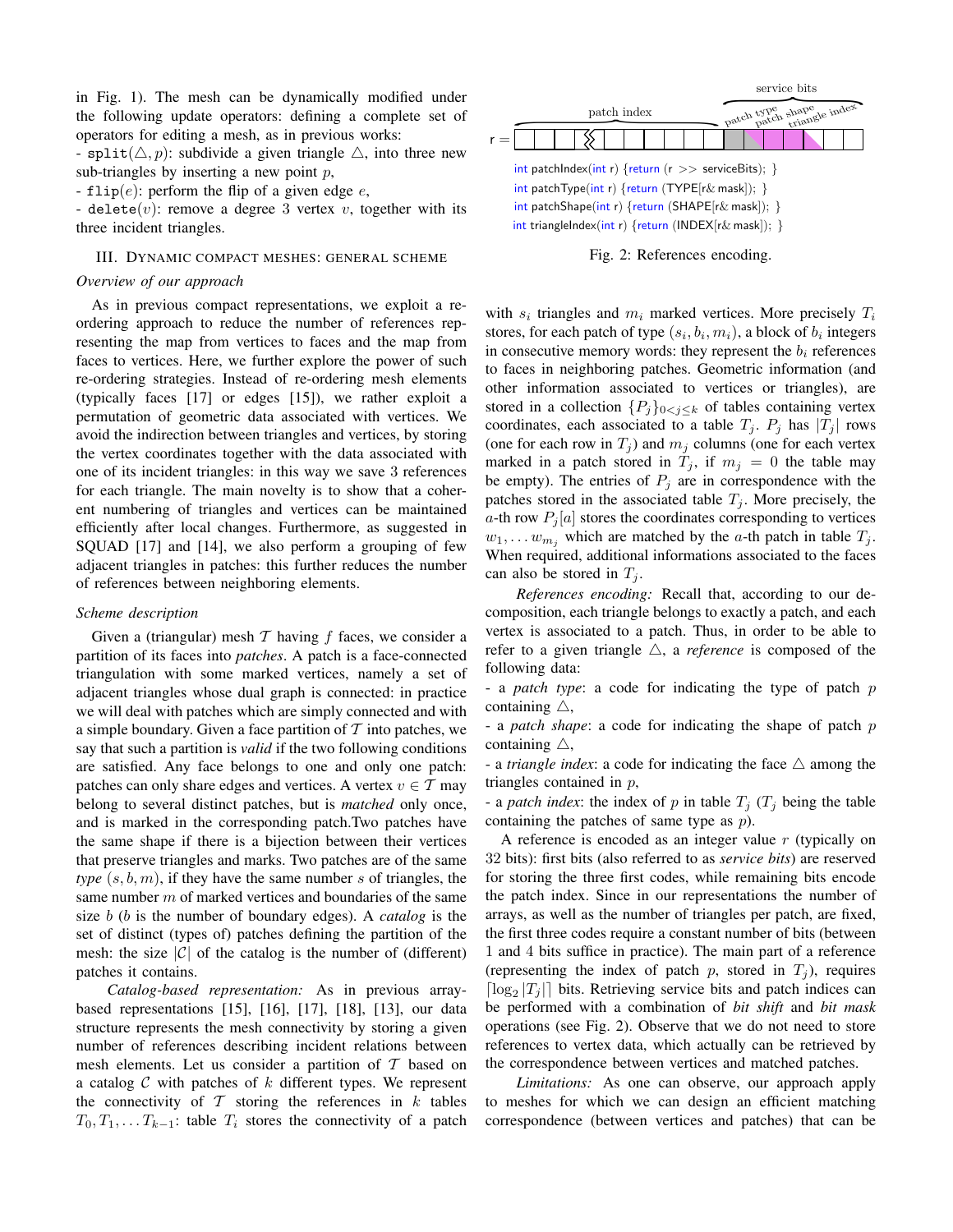in Fig. 1). The mesh can be dynamically modified under the following update operators: defining a complete set of operators for editing a mesh, as in previous works:

- split( $\triangle$ , p): subdivide a given triangle  $\triangle$ , into three new sub-triangles by inserting a new point  $p$ ,

- flip(e): perform the flip of a given edge  $e$ ,

- delete $(v)$ : remove a degree 3 vertex v, together with its three incident triangles.

III. DYNAMIC COMPACT MESHES: GENERAL SCHEME *Overview of our approach*

As in previous compact representations, we exploit a reordering approach to reduce the number of references representing the map from vertices to faces and the map from faces to vertices. Here, we further explore the power of such re-ordering strategies. Instead of re-ordering mesh elements (typically faces [17] or edges [15]), we rather exploit a permutation of geometric data associated with vertices. We avoid the indirection between triangles and vertices, by storing the vertex coordinates together with the data associated with one of its incident triangles: in this way we save 3 references for each triangle. The main novelty is to show that a coherent numbering of triangles and vertices can be maintained efficiently after local changes. Furthermore, as suggested in SQUAD [17] and [14], we also perform a grouping of few adjacent triangles in patches: this further reduces the number of references between neighboring elements.

#### *Scheme description*

Given a (triangular) mesh  $T$  having  $f$  faces, we consider a partition of its faces into *patches*. A patch is a face-connected triangulation with some marked vertices, namely a set of adjacent triangles whose dual graph is connected: in practice we will deal with patches which are simply connected and with a simple boundary. Given a face partition of  $T$  into patches, we say that such a partition is *valid* if the two following conditions are satisfied. Any face belongs to one and only one patch: patches can only share edges and vertices. A vertex  $v \in \mathcal{T}$  may belong to several distinct patches, but is *matched* only once, and is marked in the corresponding patch.Two patches have the same shape if there is a bijection between their vertices that preserve triangles and marks. Two patches are of the same *type*  $(s, b, m)$ , if they have the same number s of triangles, the same number  $m$  of marked vertices and boundaries of the same size b (b is the number of boundary edges). A *catalog* is the set of distinct (types of) patches defining the partition of the mesh: the size  $|\mathcal{C}|$  of the catalog is the number of (different) patches it contains.

*Catalog-based representation:* As in previous arraybased representations [15], [16], [17], [18], [13], our data structure represents the mesh connectivity by storing a given number of references describing incident relations between mesh elements. Let us consider a partition of  $T$  based on a catalog  $\mathcal C$  with patches of k different types. We represent the connectivity of  $\mathcal T$  storing the references in  $k$  tables  $T_0, T_1, \ldots T_{k-1}$ : table  $T_i$  stores the connectivity of a patch



Fig. 2: References encoding.

with  $s_i$  triangles and  $m_i$  marked vertices. More precisely  $T_i$ stores, for each patch of type  $(s_i, b_i, m_i)$ , a block of  $b_i$  integers in consecutive memory words: they represent the  $b_i$  references to faces in neighboring patches. Geometric information (and other information associated to vertices or triangles), are stored in a collection  $\{P_j\}_{0 \le j \le k}$  of tables containing vertex coordinates, each associated to a table  $T_j$ .  $P_j$  has  $|T_j|$  rows (one for each row in  $T_j$ ) and  $m_j$  columns (one for each vertex marked in a patch stored in  $T_j$ , if  $m_j = 0$  the table may be empty). The entries of  $P_i$  are in correspondence with the patches stored in the associated table  $T_i$ . More precisely, the a-th row  $P_i[a]$  stores the coordinates corresponding to vertices  $w_1, \ldots w_{m_i}$  which are matched by the a-th patch in table  $T_i$ . When required, additional informations associated to the faces can also be stored in  $T_i$ .

*References encoding:* Recall that, according to our decomposition, each triangle belongs to exactly a patch, and each vertex is associated to a patch. Thus, in order to be able to refer to a given triangle  $\triangle$ , a *reference* is composed of the following data:

- a *patch type*: a code for indicating the type of patch p containing  $\triangle$ ,

- a *patch shape*: a code for indicating the shape of patch p containing  $\triangle$ ,

- a *triangle index*: a code for indicating the face  $\triangle$  among the triangles contained in p,

- a *patch index*: the index of p in table  $T_i$  ( $T_i$  being the table containing the patches of same type as p).

A reference is encoded as an integer value  $r$  (typically on 32 bits): first bits (also referred to as *service bits*) are reserved for storing the three first codes, while remaining bits encode the patch index. Since in our representations the number of arrays, as well as the number of triangles per patch, are fixed, the first three codes require a constant number of bits (between 1 and 4 bits suffice in practice). The main part of a reference (representing the index of patch p, stored in  $T_i$ ), requires  $\lceil \log_2 |T_j| \rceil$  bits. Retrieving service bits and patch indices can be performed with a combination of *bit shift* and *bit mask* operations (see Fig. 2). Observe that we do not need to store references to vertex data, which actually can be retrieved by the correspondence between vertices and matched patches.

*Limitations:* As one can observe, our approach apply to meshes for which we can design an efficient matching correspondence (between vertices and patches) that can be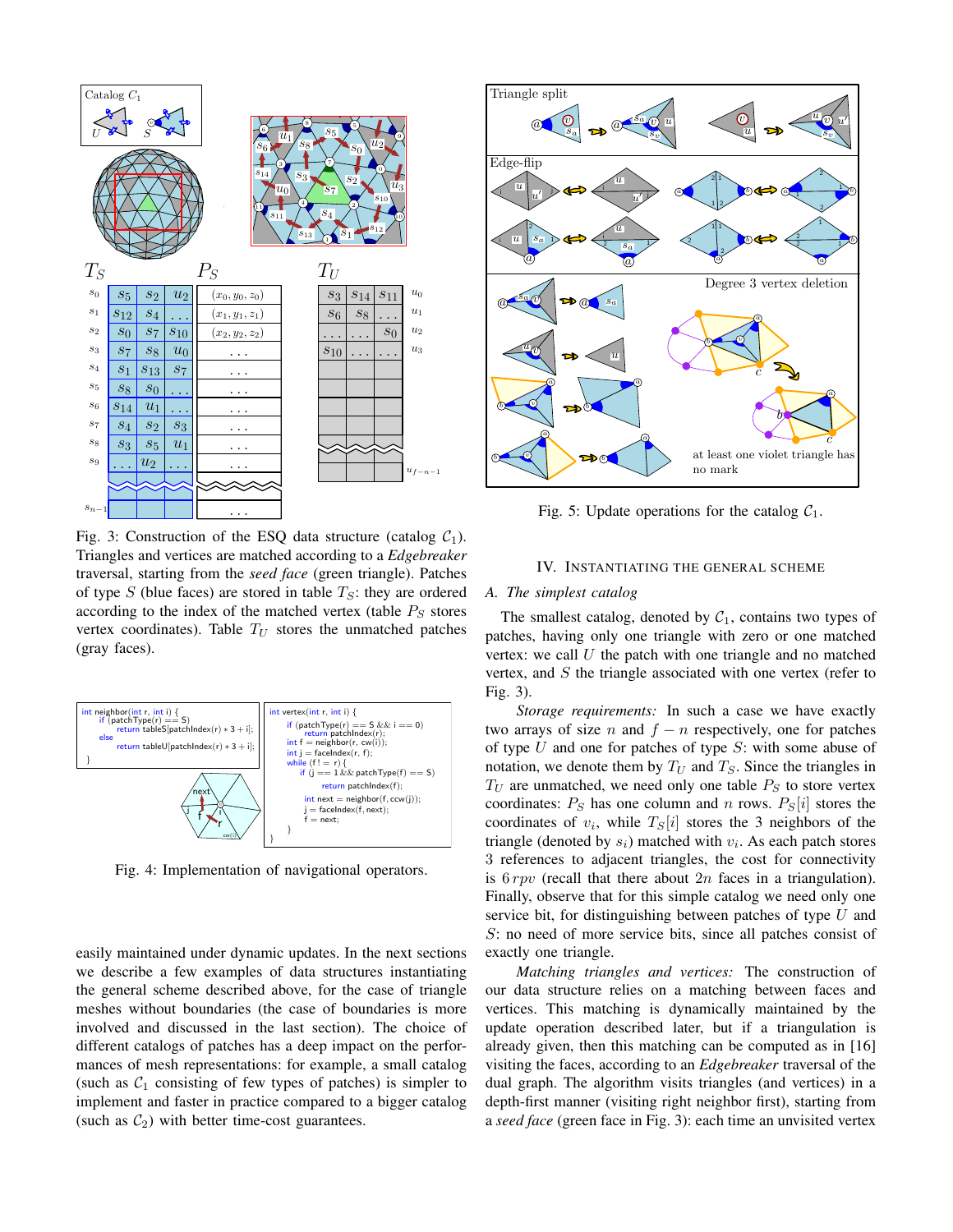

Fig. 3: Construction of the ESQ data structure (catalog  $C_1$ ). Triangles and vertices are matched according to a *Edgebreaker* traversal, starting from the *seed face* (green triangle). Patches of type S (blue faces) are stored in table  $T<sub>S</sub>$ : they are ordered according to the index of the matched vertex (table  $P<sub>S</sub>$  stores vertex coordinates). Table  $T_U$  stores the unmatched patches (gray faces).



Fig. 4: Implementation of navigational operators.

easily maintained under dynamic updates. In the next sections we describe a few examples of data structures instantiating the general scheme described above, for the case of triangle meshes without boundaries (the case of boundaries is more involved and discussed in the last section). The choice of different catalogs of patches has a deep impact on the performances of mesh representations: for example, a small catalog (such as  $C_1$  consisting of few types of patches) is simpler to implement and faster in practice compared to a bigger catalog (such as  $C_2$ ) with better time-cost guarantees.



Fig. 5: Update operations for the catalog  $C_1$ .

#### IV. INSTANTIATING THE GENERAL SCHEME

#### *A. The simplest catalog*

The smallest catalog, denoted by  $C_1$ , contains two types of patches, having only one triangle with zero or one matched vertex: we call  $U$  the patch with one triangle and no matched vertex, and  $S$  the triangle associated with one vertex (refer to Fig. 3).

*Storage requirements:* In such a case we have exactly two arrays of size n and  $f - n$  respectively, one for patches of type  $U$  and one for patches of type  $S$ : with some abuse of notation, we denote them by  $T_U$  and  $T_S$ . Since the triangles in  $T_U$  are unmatched, we need only one table  $P_S$  to store vertex coordinates:  $P_S$  has one column and n rows.  $P_S[i]$  stores the coordinates of  $v_i$ , while  $T_S[i]$  stores the 3 neighbors of the triangle (denoted by  $s_i$ ) matched with  $v_i$ . As each patch stores 3 references to adjacent triangles, the cost for connectivity is  $6 \, r p v$  (recall that there about  $2n$  faces in a triangulation). Finally, observe that for this simple catalog we need only one service bit, for distinguishing between patches of type  $U$  and S: no need of more service bits, since all patches consist of exactly one triangle.

*Matching triangles and vertices:* The construction of our data structure relies on a matching between faces and vertices. This matching is dynamically maintained by the update operation described later, but if a triangulation is already given, then this matching can be computed as in [16] visiting the faces, according to an *Edgebreaker* traversal of the dual graph. The algorithm visits triangles (and vertices) in a depth-first manner (visiting right neighbor first), starting from a *seed face* (green face in Fig. 3): each time an unvisited vertex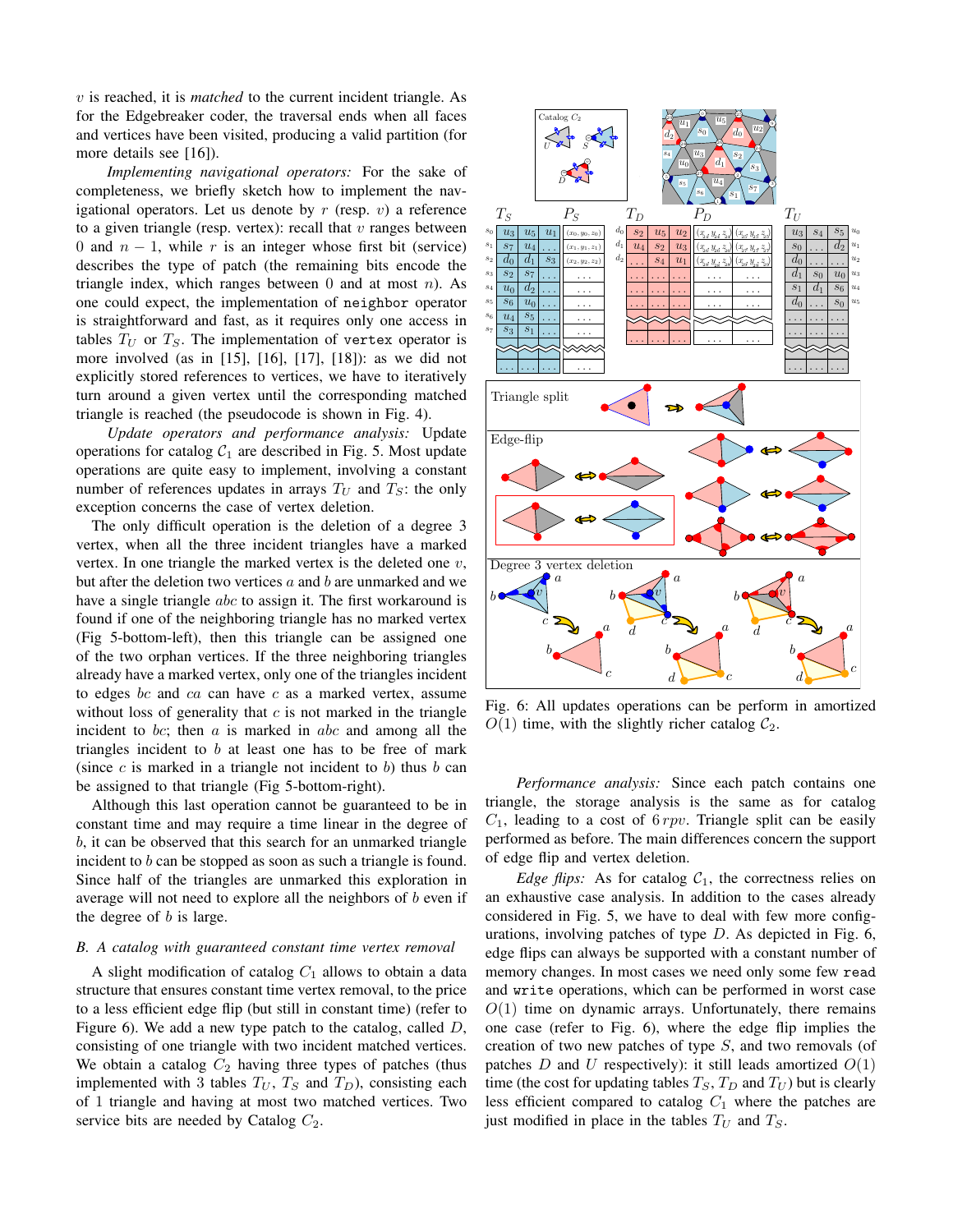v is reached, it is *matched* to the current incident triangle. As for the Edgebreaker coder, the traversal ends when all faces and vertices have been visited, producing a valid partition (for more details see [16]).

*Implementing navigational operators:* For the sake of completeness, we briefly sketch how to implement the navigational operators. Let us denote by  $r$  (resp.  $v$ ) a reference to a given triangle (resp. vertex): recall that  $v$  ranges between 0 and  $n - 1$ , while r is an integer whose first bit (service) describes the type of patch (the remaining bits encode the triangle index, which ranges between  $0$  and at most  $n$ ). As one could expect, the implementation of neighbor operator is straightforward and fast, as it requires only one access in tables  $T_U$  or  $T_S$ . The implementation of vertex operator is more involved (as in [15], [16], [17], [18]): as we did not explicitly stored references to vertices, we have to iteratively turn around a given vertex until the corresponding matched triangle is reached (the pseudocode is shown in Fig. 4).

*Update operators and performance analysis:* Update operations for catalog  $C_1$  are described in Fig. 5. Most update operations are quite easy to implement, involving a constant number of references updates in arrays  $T_U$  and  $T_S$ : the only exception concerns the case of vertex deletion.

The only difficult operation is the deletion of a degree 3 vertex, when all the three incident triangles have a marked vertex. In one triangle the marked vertex is the deleted one  $v$ , but after the deletion two vertices  $a$  and  $b$  are unmarked and we have a single triangle *abc* to assign it. The first workaround is found if one of the neighboring triangle has no marked vertex (Fig 5-bottom-left), then this triangle can be assigned one of the two orphan vertices. If the three neighboring triangles already have a marked vertex, only one of the triangles incident to edges  $bc$  and  $ca$  can have  $c$  as a marked vertex, assume without loss of generality that  $c$  is not marked in the triangle incident to bc; then  $a$  is marked in abc and among all the triangles incident to  $b$  at least one has to be free of mark (since  $c$  is marked in a triangle not incident to  $b$ ) thus  $b$  can be assigned to that triangle (Fig 5-bottom-right).

Although this last operation cannot be guaranteed to be in constant time and may require a time linear in the degree of b, it can be observed that this search for an unmarked triangle incident to b can be stopped as soon as such a triangle is found. Since half of the triangles are unmarked this exploration in average will not need to explore all the neighbors of  $b$  even if the degree of  $b$  is large.

#### *B. A catalog with guaranteed constant time vertex removal*

A slight modification of catalog  $C_1$  allows to obtain a data structure that ensures constant time vertex removal, to the price to a less efficient edge flip (but still in constant time) (refer to Figure 6). We add a new type patch to the catalog, called  $D$ , consisting of one triangle with two incident matched vertices. We obtain a catalog  $C_2$  having three types of patches (thus implemented with 3 tables  $T_U$ ,  $T_S$  and  $T_D$ ), consisting each of 1 triangle and having at most two matched vertices. Two service bits are needed by Catalog  $C_2$ .



Fig. 6: All updates operations can be perform in amortized  $O(1)$  time, with the slightly richer catalog  $C_2$ .

*Performance analysis:* Since each patch contains one triangle, the storage analysis is the same as for catalog  $C_1$ , leading to a cost of  $6 \, r p v$ . Triangle split can be easily performed as before. The main differences concern the support of edge flip and vertex deletion.

*Edge flips:* As for catalog  $C_1$ , the correctness relies on an exhaustive case analysis. In addition to the cases already considered in Fig. 5, we have to deal with few more configurations, involving patches of type  $D$ . As depicted in Fig. 6, edge flips can always be supported with a constant number of memory changes. In most cases we need only some few read and write operations, which can be performed in worst case  $O(1)$  time on dynamic arrays. Unfortunately, there remains one case (refer to Fig. 6), where the edge flip implies the creation of two new patches of type S, and two removals (of patches  $D$  and  $U$  respectively): it still leads amortized  $O(1)$ time (the cost for updating tables  $T_S$ ,  $T_D$  and  $T_U$ ) but is clearly less efficient compared to catalog  $C_1$  where the patches are just modified in place in the tables  $T_U$  and  $T_S$ .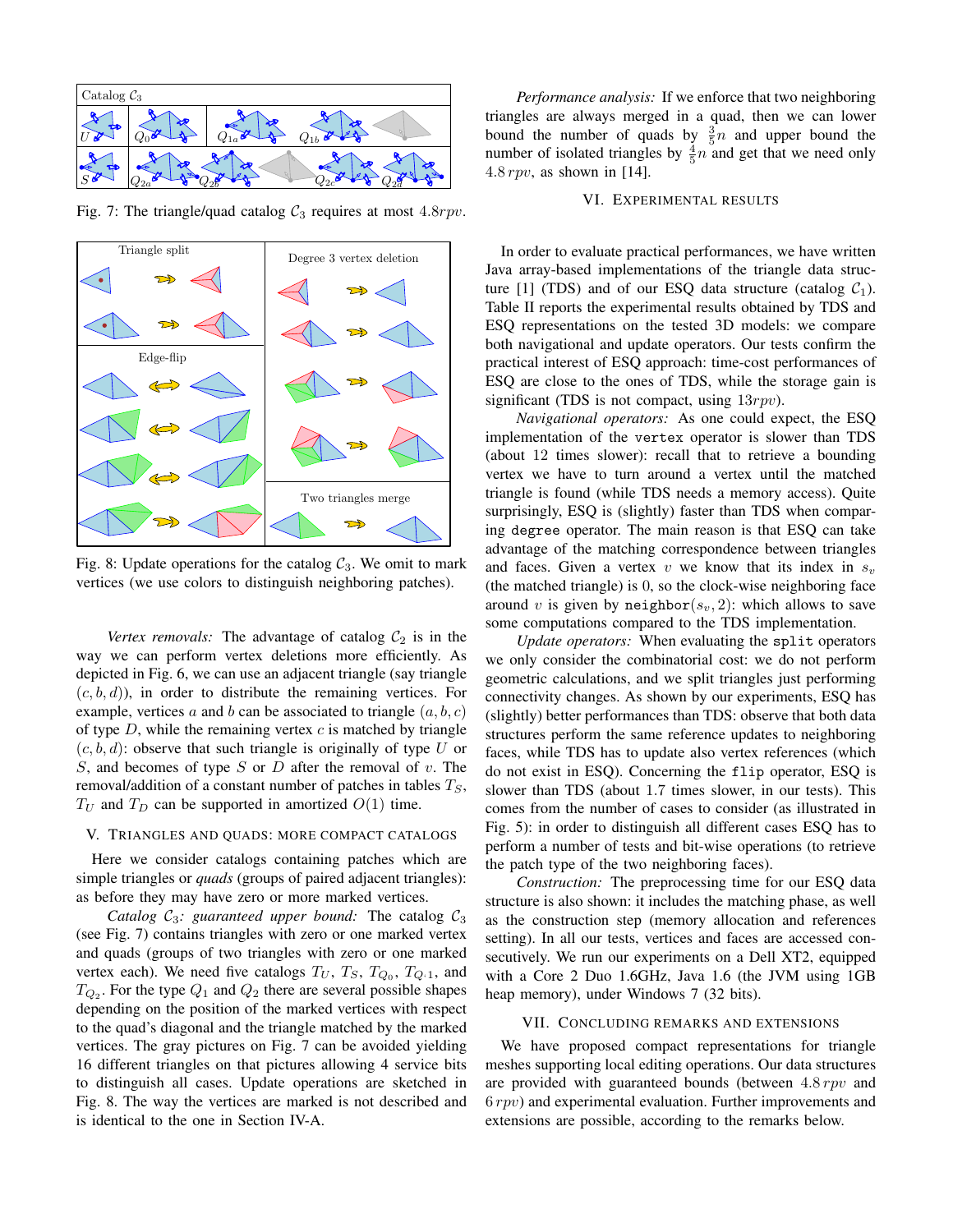

Fig. 7: The triangle/quad catalog  $C_3$  requires at most 4.8rpv.



Fig. 8: Update operations for the catalog  $C_3$ . We omit to mark vertices (we use colors to distinguish neighboring patches).

*Vertex removals:* The advantage of catalog  $C_2$  is in the way we can perform vertex deletions more efficiently. As depicted in Fig. 6, we can use an adjacent triangle (say triangle  $(c, b, d)$ , in order to distribute the remaining vertices. For example, vertices a and b can be associated to triangle  $(a, b, c)$ of type  $D$ , while the remaining vertex  $c$  is matched by triangle  $(c, b, d)$ : observe that such triangle is originally of type U or S, and becomes of type S or D after the removal of  $v$ . The removal/addition of a constant number of patches in tables  $T_S$ ,  $T_U$  and  $T_D$  can be supported in amortized  $O(1)$  time.

#### V. TRIANGLES AND QUADS: MORE COMPACT CATALOGS

Here we consider catalogs containing patches which are simple triangles or *quads* (groups of paired adjacent triangles): as before they may have zero or more marked vertices.

*Catalog*  $C_3$ *: guaranteed upper bound:* The catalog  $C_3$ (see Fig. 7) contains triangles with zero or one marked vertex and quads (groups of two triangles with zero or one marked vertex each). We need five catalogs  $T_U$ ,  $T_S$ ,  $T_{Q_0}$ ,  $T_{Q_0}$ , and  $T_{Q_2}$ . For the type  $Q_1$  and  $Q_2$  there are several possible shapes depending on the position of the marked vertices with respect to the quad's diagonal and the triangle matched by the marked vertices. The gray pictures on Fig. 7 can be avoided yielding 16 different triangles on that pictures allowing 4 service bits to distinguish all cases. Update operations are sketched in Fig. 8. The way the vertices are marked is not described and is identical to the one in Section IV-A.

*Performance analysis:* If we enforce that two neighboring triangles are always merged in a quad, then we can lower bound the number of quads by  $\frac{3}{5}n$  and upper bound the number of isolated triangles by  $\frac{4}{5}n$  and get that we need only  $4.8 \, \text{rpv}$ , as shown in [14].

#### VI. EXPERIMENTAL RESULTS

In order to evaluate practical performances, we have written Java array-based implementations of the triangle data structure [1] (TDS) and of our ESQ data structure (catalog  $C_1$ ). Table II reports the experimental results obtained by TDS and ESQ representations on the tested 3D models: we compare both navigational and update operators. Our tests confirm the practical interest of ESQ approach: time-cost performances of ESQ are close to the ones of TDS, while the storage gain is significant (TDS is not compact, using  $13rpv$ ).

*Navigational operators:* As one could expect, the ESQ implementation of the vertex operator is slower than TDS (about 12 times slower): recall that to retrieve a bounding vertex we have to turn around a vertex until the matched triangle is found (while TDS needs a memory access). Quite surprisingly, ESQ is (slightly) faster than TDS when comparing degree operator. The main reason is that ESQ can take advantage of the matching correspondence between triangles and faces. Given a vertex v we know that its index in  $s_v$ (the matched triangle) is 0, so the clock-wise neighboring face around v is given by neighbor( $s_v$ , 2): which allows to save some computations compared to the TDS implementation.

*Update operators:* When evaluating the split operators we only consider the combinatorial cost: we do not perform geometric calculations, and we split triangles just performing connectivity changes. As shown by our experiments, ESQ has (slightly) better performances than TDS: observe that both data structures perform the same reference updates to neighboring faces, while TDS has to update also vertex references (which do not exist in ESQ). Concerning the flip operator, ESQ is slower than TDS (about 1.7 times slower, in our tests). This comes from the number of cases to consider (as illustrated in Fig. 5): in order to distinguish all different cases ESQ has to perform a number of tests and bit-wise operations (to retrieve the patch type of the two neighboring faces).

*Construction:* The preprocessing time for our ESQ data structure is also shown: it includes the matching phase, as well as the construction step (memory allocation and references setting). In all our tests, vertices and faces are accessed consecutively. We run our experiments on a Dell XT2, equipped with a Core 2 Duo 1.6GHz, Java 1.6 (the JVM using 1GB heap memory), under Windows 7 (32 bits).

#### VII. CONCLUDING REMARKS AND EXTENSIONS

We have proposed compact representations for triangle meshes supporting local editing operations. Our data structures are provided with guaranteed bounds (between 4.8 rpv and  $6$  *rpv*) and experimental evaluation. Further improvements and extensions are possible, according to the remarks below.